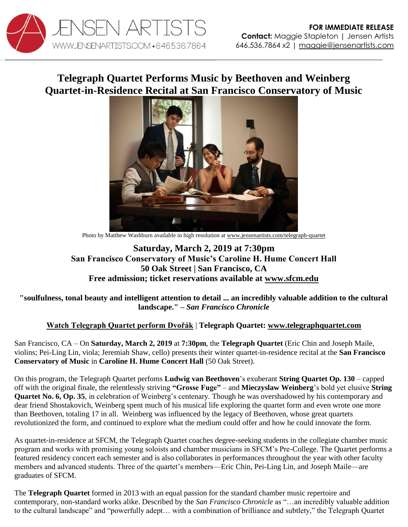

# **Telegraph Quartet Performs Music by Beethoven and Weinberg Quartet-in-Residence Recital at San Francisco Conservatory of Music**



Photo by Matthew Washburn available in high resolution a[t www.jensenartists.com/telegraph-quartet](http://www.jensenartists.com/telegraph-quartet)

## **Saturday, March 2, 2019 at 7:30pm San Francisco Conservatory of Music's Caroline H. Hume Concert Hall 50 Oak Street | San Francisco, CA Free admission; ticket reservations available at [www.sfcm.edu](https://sfcm.edu/events/telegraph-quartet-2)**

#### **"soulfulness, tonal beauty and intelligent attention to detail ... an incredibly valuable addition to the cultural landscape." –** *San Francisco Chronicle*

### **[Watch Telegraph Quartet perform Dvořák](https://youtu.be/dgI4xUcPUZ8)** | **Telegraph Quartet: [www.telegraphquartet.com](http://www.telegraphquartet.com/)**

San Francisco, CA – On **Saturday, March 2, 2019** at **7:30pm**, the **Telegraph Quartet** (Eric Chin and Joseph Maile, violins; Pei-Ling Lin, viola; Jeremiah Shaw, cello) presents their winter quartet-in-residence recital at the **San Francisco Conservatory of Music** in **Caroline H. Hume Concert Hall** (50 Oak Street).

On this program, the Telegraph Quartet perfoms **Ludwig van Beethoven**'s exuberant **String Quartet Op. 130** – capped off with the original finale, the relentlessly striving **"Grosse Fuge"** – and **Mieczyslaw Weinberg**'s bold yet elusive **String Quartet No. 6, Op. 35**, in celebration of Weinberg's centenary. Though he was overshadowed by his contemporary and dear friend Shostakovich, Weinberg spent much of his musical life exploring the quartet form and even wrote one more than Beethoven, totaling 17 in all. Weinberg was influenced by the legacy of Beethoven, whose great quartets revolutionized the form, and continued to explore what the medium could offer and how he could innovate the form.

As quartet-in-residence at SFCM, the Telegraph Quartet coaches degree-seeking students in the collegiate chamber music program and works with promising young soloists and chamber musicians in SFCM's Pre-College. The Quartet performs a featured residency concert each semester and is also collaborates in performances throughout the year with other faculty members and advanced students. Three of the quartet's members—Eric Chin, Pei-Ling Lin, and Joseph Maile—are graduates of SFCM.

The **Telegraph Quartet** formed in 2013 with an equal passion for the standard chamber music repertoire and contemporary, non-standard works alike. Described by the *San Francisco Chronicle* as "…an incredibly valuable addition to the cultural landscape" and "powerfully adept… with a combination of brilliance and subtlety," the Telegraph Quartet